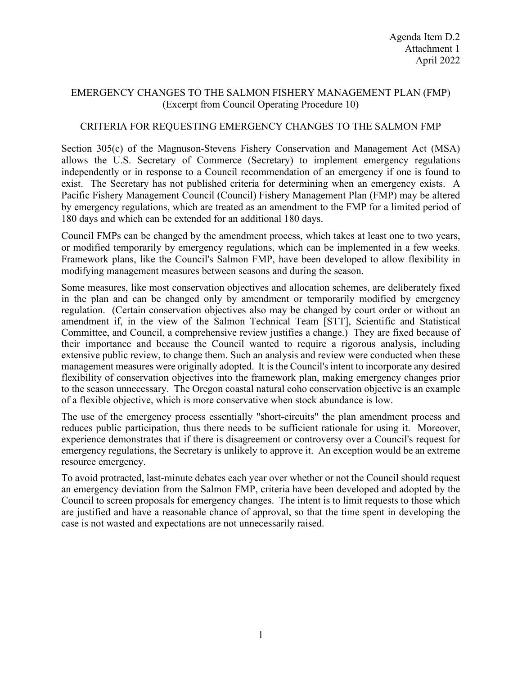## EMERGENCY CHANGES TO THE SALMON FISHERY MANAGEMENT PLAN (FMP) (Excerpt from Council Operating Procedure 10)

## CRITERIA FOR REQUESTING EMERGENCY CHANGES TO THE SALMON FMP

Section 305(c) of the Magnuson-Stevens Fishery Conservation and Management Act (MSA) allows the U.S. Secretary of Commerce (Secretary) to implement emergency regulations independently or in response to a Council recommendation of an emergency if one is found to exist. The Secretary has not published criteria for determining when an emergency exists. A Pacific Fishery Management Council (Council) Fishery Management Plan (FMP) may be altered by emergency regulations, which are treated as an amendment to the FMP for a limited period of 180 days and which can be extended for an additional 180 days.

Council FMPs can be changed by the amendment process, which takes at least one to two years, or modified temporarily by emergency regulations, which can be implemented in a few weeks. Framework plans, like the Council's Salmon FMP, have been developed to allow flexibility in modifying management measures between seasons and during the season.

Some measures, like most conservation objectives and allocation schemes, are deliberately fixed in the plan and can be changed only by amendment or temporarily modified by emergency regulation. (Certain conservation objectives also may be changed by court order or without an amendment if, in the view of the Salmon Technical Team [STT], Scientific and Statistical Committee, and Council, a comprehensive review justifies a change.) They are fixed because of their importance and because the Council wanted to require a rigorous analysis, including extensive public review, to change them. Such an analysis and review were conducted when these management measures were originally adopted. It is the Council's intent to incorporate any desired flexibility of conservation objectives into the framework plan, making emergency changes prior to the season unnecessary. The Oregon coastal natural coho conservation objective is an example of a flexible objective, which is more conservative when stock abundance is low.

The use of the emergency process essentially "short-circuits" the plan amendment process and reduces public participation, thus there needs to be sufficient rationale for using it. Moreover, experience demonstrates that if there is disagreement or controversy over a Council's request for emergency regulations, the Secretary is unlikely to approve it. An exception would be an extreme resource emergency.

To avoid protracted, last-minute debates each year over whether or not the Council should request an emergency deviation from the Salmon FMP, criteria have been developed and adopted by the Council to screen proposals for emergency changes. The intent is to limit requests to those which are justified and have a reasonable chance of approval, so that the time spent in developing the case is not wasted and expectations are not unnecessarily raised.